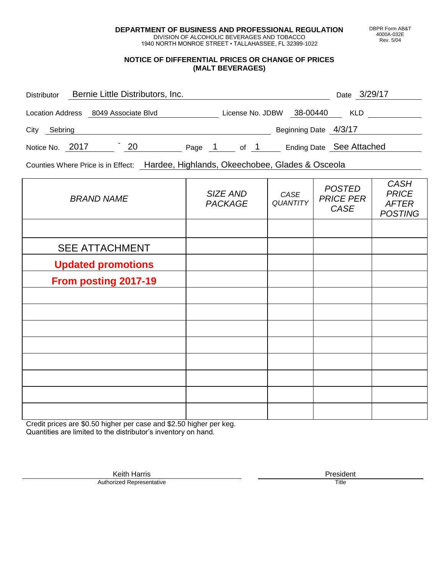**DEPARTMENT OF BUSINESS AND PROFESSIONAL REGULATION** DIVISION OF ALCOHOLIC BEVERAGES AND TOBACCO

1940 NORTH MONROE STREET • TALLAHASSEE, FL 32399-1022

#### **NOTICE OF DIFFERENTIAL PRICES OR CHANGE OF PRICES (MALT BEVERAGES)**

| <b>Distributor</b> |                                      | Bernie Little Distributors, Inc. |        |                  |                       | Date 3/29/17             |
|--------------------|--------------------------------------|----------------------------------|--------|------------------|-----------------------|--------------------------|
|                    | Location Address 8049 Associate Blvd |                                  |        | License No. JDBW | 38-00440              | <b>KLD</b>               |
| City<br>Sebring    |                                      |                                  |        |                  | Beginning Date 4/3/17 |                          |
| Notice No.         | 2017                                 | 20                               | Page 1 | of 1             |                       | Ending Date See Attached |

Counties Where Price is in Effect: Hardee, Highlands, Okeechobee, Glades & Osceola

| <b>BRAND NAME</b>         | SIZE AND<br><b>PACKAGE</b> | CASE<br>QUANTITY | <b>POSTED</b><br><b>PRICE PER</b><br>CASE | <b>CASH</b><br><b>PRICE</b><br><b>AFTER</b><br><b>POSTING</b> |
|---------------------------|----------------------------|------------------|-------------------------------------------|---------------------------------------------------------------|
|                           |                            |                  |                                           |                                                               |
| <b>SEE ATTACHMENT</b>     |                            |                  |                                           |                                                               |
| <b>Updated promotions</b> |                            |                  |                                           |                                                               |
| From posting 2017-19      |                            |                  |                                           |                                                               |
|                           |                            |                  |                                           |                                                               |
|                           |                            |                  |                                           |                                                               |
|                           |                            |                  |                                           |                                                               |
|                           |                            |                  |                                           |                                                               |
|                           |                            |                  |                                           |                                                               |
|                           |                            |                  |                                           |                                                               |
|                           |                            |                  |                                           |                                                               |
|                           |                            |                  |                                           |                                                               |

Credit prices are \$0.50 higher per case and \$2.50 higher per keg. Quantities are limited to the distributor's inventory on hand.

> Keith Harris **President**<br> **President**<br>
> Prized Representative **President Authorized Representative**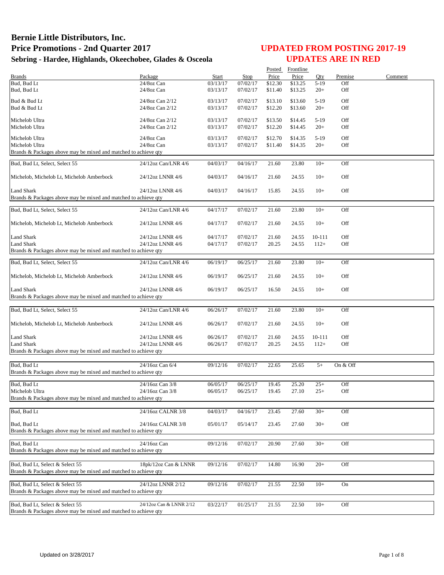|                                                                                      |                                      |                      |                      |                    | Posted Frontline   |                  |            |         |
|--------------------------------------------------------------------------------------|--------------------------------------|----------------------|----------------------|--------------------|--------------------|------------------|------------|---------|
| <b>Brands</b>                                                                        | Package                              | Start                | Stop                 | Price              | Price              | Oty              | Premise    | Comment |
| Bud, Bud Lt                                                                          | 24/8oz Can                           | 03/13/17             | 07/02/17             | \$12.30            | \$13.25            | $5-19$           | Off        |         |
| Bud, Bud Lt                                                                          | 24/8oz Can                           | 03/13/17             | 07/02/17             | \$11.40            | \$13.25            | $20+$            | Off        |         |
| Bud & Bud Lt                                                                         | 24/8oz Can 2/12                      | 03/13/17             | 07/02/17             | \$13.10            | \$13.60            | $5-19$           | Off        |         |
| Bud & Bud Lt                                                                         | 24/8oz Can 2/12                      | 03/13/17             | 07/02/17             | \$12.20            | \$13.60            | $20+$            | Off        |         |
|                                                                                      |                                      |                      |                      |                    |                    |                  |            |         |
| Michelob Ultra<br>Michelob Ultra                                                     | 24/8oz Can 2/12<br>24/8oz Can 2/12   | 03/13/17<br>03/13/17 | 07/02/17<br>07/02/17 | \$13.50<br>\$12.20 | \$14.45<br>\$14.45 | $5-19$<br>$20+$  | Off<br>Off |         |
|                                                                                      |                                      |                      |                      |                    |                    |                  |            |         |
| Michelob Ultra                                                                       | 24/8oz Can                           | 03/13/17             | 07/02/17             | \$12.70            | \$14.35            | $5-19$           | Off        |         |
| Michelob Ultra                                                                       | 24/8oz Can                           | 03/13/17             | 07/02/17             | \$11.40            | \$14.35            | $20+$            | Off        |         |
| Brands & Packages above may be mixed and matched to achieve qty                      |                                      |                      |                      |                    |                    |                  |            |         |
| Bud, Bud Lt, Select, Select 55                                                       | 24/12oz Can/LNR 4/6                  | 04/03/17             | 04/16/17             | 21.60              | 23.80              | $10+$            | Off        |         |
|                                                                                      |                                      |                      |                      |                    |                    |                  |            |         |
| Michelob, Michelob Lt, Michelob Amberbock                                            | 24/12oz LNNR 4/6                     | 04/03/17             | 04/16/17             | 21.60              | 24.55              | $10+$            | Off        |         |
|                                                                                      |                                      |                      |                      |                    |                    |                  |            |         |
| Land Shark                                                                           | 24/12oz LNNR 4/6                     | 04/03/17             | 04/16/17             | 15.85              | 24.55              | $10+$            | Off        |         |
| Brands & Packages above may be mixed and matched to achieve qty                      |                                      |                      |                      |                    |                    |                  |            |         |
| Bud, Bud Lt, Select, Select 55                                                       | 24/12oz Can/LNR 4/6                  | 04/17/17             | 07/02/17             | 21.60              | 23.80              | $10+$            | Off        |         |
|                                                                                      |                                      |                      |                      |                    |                    |                  |            |         |
| Michelob, Michelob Lt, Michelob Amberbock                                            | 24/12oz LNNR 4/6                     | 04/17/17             | 07/02/17             | 21.60              | 24.55              | $10+$            | Off        |         |
|                                                                                      |                                      |                      |                      |                    |                    |                  |            |         |
| <b>Land Shark</b>                                                                    | 24/12oz LNNR 4/6                     | 04/17/17             | 07/02/17             | 21.60              | 24.55              | 10-111           | Off        |         |
| <b>Land Shark</b><br>Brands & Packages above may be mixed and matched to achieve qty | 24/12oz LNNR 4/6                     | 04/17/17             | 07/02/17             | 20.25              | 24.55              | $112+$           | Off        |         |
|                                                                                      |                                      |                      |                      |                    |                    |                  |            |         |
| Bud, Bud Lt, Select, Select 55                                                       | 24/12oz Can/LNR 4/6                  | 06/19/17             | 06/25/17             | 21.60              | 23.80              | $10+$            | Off        |         |
|                                                                                      |                                      |                      |                      |                    |                    |                  |            |         |
| Michelob, Michelob Lt, Michelob Amberbock                                            | 24/12oz LNNR 4/6                     | 06/19/17             | 06/25/17             | 21.60              | 24.55              | $10+$            | Off        |         |
| Land Shark                                                                           | 24/12oz LNNR 4/6                     | 06/19/17             | 06/25/17             | 16.50              | 24.55              | $10+$            | Off        |         |
| Brands & Packages above may be mixed and matched to achieve qty                      |                                      |                      |                      |                    |                    |                  |            |         |
|                                                                                      |                                      |                      |                      |                    |                    |                  |            |         |
| Bud, Bud Lt, Select, Select 55                                                       | 24/12oz Can/LNR 4/6                  | 06/26/17             | 07/02/17             | 21.60              | 23.80              | $10+$            | Off        |         |
|                                                                                      |                                      |                      |                      |                    |                    |                  |            |         |
| Michelob, Michelob Lt, Michelob Amberbock                                            | 24/12oz LNNR 4/6                     | 06/26/17             | 07/02/17             | 21.60              | 24.55              | $10+$            | Off        |         |
|                                                                                      |                                      |                      |                      |                    |                    |                  |            |         |
| <b>Land Shark</b><br><b>Land Shark</b>                                               | 24/12oz LNNR 4/6<br>24/12oz LNNR 4/6 | 06/26/17<br>06/26/17 | 07/02/17<br>07/02/17 | 21.60<br>20.25     | 24.55<br>24.55     | 10-111<br>$112+$ | Off<br>Off |         |
| Brands & Packages above may be mixed and matched to achieve qty                      |                                      |                      |                      |                    |                    |                  |            |         |
|                                                                                      |                                      |                      |                      |                    |                    |                  |            |         |
| Bud, Bud Lt                                                                          | 24/16oz Can 6/4                      | 09/12/16             | 07/02/17             | 22.65              | 25.65              | $5+$             | On & Off   |         |
| Brands & Packages above may be mixed and matched to achieve qty                      |                                      |                      |                      |                    |                    |                  |            |         |
|                                                                                      |                                      |                      |                      |                    |                    |                  |            |         |
| Bud, Bud Lt<br>Michelob Ultra                                                        | 24/16oz Can 3/8<br>24/16oz Can 3/8   | 06/05/17<br>06/05/17 | 06/25/17<br>06/25/17 | 19.45              | 25.20<br>27.10     | $25+$<br>$25+$   | Off<br>Off |         |
| Brands & Packages above may be mixed and matched to achieve qty                      |                                      |                      |                      | 19.45              |                    |                  |            |         |
|                                                                                      |                                      |                      |                      |                    |                    |                  |            |         |
| Bud, Bud Lt                                                                          | 24/16oz CALNR 3/8                    | 04/03/17             | 04/16/17             | 23.45              | 27.60              | $30+$            | Off        |         |
|                                                                                      |                                      |                      |                      |                    |                    |                  |            |         |
| Bud, Bud Lt                                                                          | 24/16oz CALNR 3/8                    | 05/01/17             | 05/14/17             | 23.45              | 27.60              | $30+$            | Off        |         |
| Brands & Packages above may be mixed and matched to achieve qty                      |                                      |                      |                      |                    |                    |                  |            |         |
| Bud, Bud Lt                                                                          | 24/16oz Can                          | 09/12/16             | 07/02/17             | 20.90              | 27.60              | $30+$            | Off        |         |
| Brands & Packages above may be mixed and matched to achieve qty                      |                                      |                      |                      |                    |                    |                  |            |         |
|                                                                                      |                                      |                      |                      |                    |                    |                  |            |         |
| Bud, Bud Lt, Select & Select 55                                                      | 18pk/12oz Can & LNNR                 | 09/12/16             | 07/02/17             | 14.80              | 16.90              | $20+$            | Off        |         |
| Brands & Packages above may be mixed and matched to achieve qty                      |                                      |                      |                      |                    |                    |                  |            |         |
| Bud, Bud Lt, Select & Select 55                                                      | 24/12oz LNNR 2/12                    | 09/12/16             | 07/02/17             | 21.55              | 22.50              | $10+$            | <b>On</b>  |         |
| Brands & Packages above may be mixed and matched to achieve qty                      |                                      |                      |                      |                    |                    |                  |            |         |
|                                                                                      |                                      |                      |                      |                    |                    |                  |            |         |
| Bud, Bud Lt, Select & Select 55                                                      | 24/12oz Can & LNNR 2/12              | 03/22/17             | 01/25/17             | 21.55              | 22.50              | $10+$            | Off        |         |
| Brands & Packages above may be mixed and matched to achieve qty                      |                                      |                      |                      |                    |                    |                  |            |         |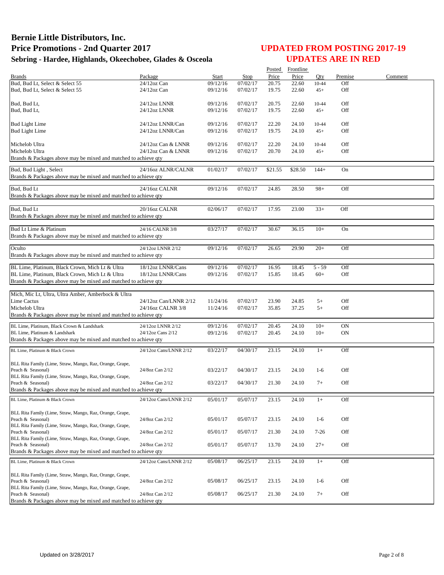|                                                                               |                              |                      |                      |                | Posted Frontline |                |                 |         |
|-------------------------------------------------------------------------------|------------------------------|----------------------|----------------------|----------------|------------------|----------------|-----------------|---------|
| <b>Brands</b>                                                                 | Package                      | Start                | Stop                 | Price          | Price            | Otv            | Premise         | Comment |
| Bud, Bud Lt, Select & Select 55                                               | $24/12$ oz Can               | 09/12/16             | 07/02/17             | 20.75          | 22.60            | 10-44          | Off             |         |
| Bud, Bud Lt, Select & Select 55                                               | $24/12$ oz Can               | 09/12/16             | 07/02/17             | 19.75          | 22.60            | $45+$          | Off             |         |
|                                                                               |                              |                      |                      |                |                  |                |                 |         |
| Bud, Bud Lt,<br>Bud, Bud Lt,                                                  | 24/12oz LNNR<br>24/12oz LNNR | 09/12/16<br>09/12/16 | 07/02/17<br>07/02/17 | 20.75<br>19.75 | 22.60            | 10-44          | Off<br>Off      |         |
|                                                                               |                              |                      |                      |                | 22.60            | $45+$          |                 |         |
| <b>Bud Light Lime</b>                                                         | 24/12oz LNNR/Can             | 09/12/16             | 07/02/17             | 22.20          | 24.10            | 10-44          | Off             |         |
| <b>Bud Light Lime</b>                                                         | 24/12oz LNNR/Can             | 09/12/16             | 07/02/17             | 19.75          | 24.10            | $45+$          | Off             |         |
|                                                                               |                              |                      |                      |                |                  |                |                 |         |
| Michelob Ultra                                                                | 24/12oz Can & LNNR           | 09/12/16             | 07/02/17             | 22.20          | 24.10            | 10-44          | Off             |         |
| Michelob Ultra                                                                | 24/12oz Can & LNNR           | 09/12/16             | 07/02/17             | 20.70          | 24.10            | $45+$          | Off             |         |
| Brands & Packages above may be mixed and matched to achieve qty               |                              |                      |                      |                |                  |                |                 |         |
| Bud, Bud Light, Select                                                        | 24/16oz ALNR/CALNR           | 01/02/17             | 07/02/17             | \$21.55        | \$28.50          | $144+$         | On              |         |
| Brands & Packages above may be mixed and matched to achieve qty               |                              |                      |                      |                |                  |                |                 |         |
|                                                                               |                              |                      |                      |                |                  |                |                 |         |
| Bud, Bud Lt                                                                   | 24/16oz CALNR                | 09/12/16             | 07/02/17             | 24.85          | 28.50            | $98+$          | Off             |         |
| Brands & Packages above may be mixed and matched to achieve qty               |                              |                      |                      |                |                  |                |                 |         |
|                                                                               |                              |                      |                      |                |                  |                |                 |         |
| Bud, Bud Lt                                                                   | 20/16oz CALNR                | 02/06/17             | 07/02/17             | 17.95          | 23.00            | $33+$          | Off             |         |
| Brands & Packages above may be mixed and matched to achieve qty               |                              |                      |                      |                |                  |                |                 |         |
| Bud Lt Lime & Platinum                                                        | 24/16 CALNR 3/8              | 03/27/17             | 07/02/17             | 30.67          | 36.15            | $10+$          | On              |         |
| Brands & Packages above may be mixed and matched to achieve qty               |                              |                      |                      |                |                  |                |                 |         |
|                                                                               |                              |                      |                      |                |                  |                |                 |         |
| Oculto                                                                        | 24/12oz LNNR 2/12            | 09/12/16             | 07/02/17             | 26.65          | 29.90            | $20+$          | Off             |         |
| Brands & Packages above may be mixed and matched to achieve qty               |                              |                      |                      |                |                  |                |                 |         |
|                                                                               |                              |                      |                      |                |                  |                |                 |         |
| BL Lime, Platinum, Black Crown, Mich Lt & Ultra                               | 18/12oz LNNR/Cans            | 09/12/16             | 07/02/17             | 16.95          | 18.45            | $5 - 59$       | Off             |         |
| BL Lime, Platinum, Black Crown, Mich Lt & Ultra                               | 18/12oz LNNR/Cans            | 09/12/16             | 07/02/17             | 15.85          | 18.45            | $60+$          | Off             |         |
| Brands & Packages above may be mixed and matched to achieve qty               |                              |                      |                      |                |                  |                |                 |         |
| Mich, Mic Lt, Ultra, Ultra Amber, Amberbock & Ultra                           |                              |                      |                      |                |                  |                |                 |         |
| <b>Lime Cactus</b>                                                            | 24/12oz Can/LNNR 2/12        | 11/24/16             | 07/02/17             | 23.90          | 24.85            | $5+$           | Off             |         |
| Michelob Ultra                                                                | 24/16oz CALNR 3/8            | 11/24/16             | 07/02/17             | 35.85          | 37.25            | $5+$           | Off             |         |
| Brands & Packages above may be mixed and matched to achieve qty               |                              |                      |                      |                |                  |                |                 |         |
|                                                                               |                              |                      |                      |                |                  |                |                 |         |
| BL Lime, Platinum, Black Crown & Landshark<br>BL Lime, Platinum & Landshark   | 24/12oz LNNR 2/12            | 09/12/16<br>09/12/16 | 07/02/17<br>07/02/17 | 20.45<br>20.45 | 24.10<br>24.10   | $10+$<br>$10+$ | <b>ON</b><br>ON |         |
| Brands & Packages above may be mixed and matched to achieve qty               | 24/12oz Cans 2/12            |                      |                      |                |                  |                |                 |         |
|                                                                               |                              |                      |                      |                |                  |                |                 |         |
| BL Lime, Platinum & Black Crown                                               | 24/12oz Cans/LNNR 2/12       | 03/22/17             | 04/30/17             | 23.15          | 24.10            | $1+$           | Off             |         |
|                                                                               |                              |                      |                      |                |                  |                |                 |         |
| BLL Rita Family (Lime, Straw, Mango, Raz, Orange, Grape,                      |                              |                      |                      |                |                  |                |                 |         |
| Peach & Seasonal)<br>BLL Rita Family (Lime, Straw, Mango, Raz, Orange, Grape, | 24/8oz Can 2/12              | 03/22/17             | 04/30/17             | 23.15          | 24.10            | $1-6$          | Off             |         |
| Peach & Seasonal)                                                             | 24/8oz Can 2/12              | 03/22/17             | 04/30/17             | 21.30          | 24.10            | $7+$           | Off             |         |
| Brands & Packages above may be mixed and matched to achieve gty               |                              |                      |                      |                |                  |                |                 |         |
| BL Lime, Platinum & Black Crown                                               | 24/12oz Cans/LNNR 2/12       | 05/01/17             | 05/07/17             | 23.15          | 24.10            | $1+$           | Off             |         |
|                                                                               |                              |                      |                      |                |                  |                |                 |         |
| BLL Rita Family (Lime, Straw, Mango, Raz, Orange, Grape,                      |                              |                      |                      |                |                  |                |                 |         |
| Peach & Seasonal)                                                             | 24/8oz Can 2/12              | 05/01/17             | 05/07/17             | 23.15          | 24.10            | $1-6$          | Off             |         |
| BLL Rita Family (Lime, Straw, Mango, Raz, Orange, Grape,                      |                              |                      |                      |                |                  |                |                 |         |
| Peach & Seasonal)                                                             | 24/8oz Can 2/12              | 05/01/17             | 05/07/17             | 21.30          | 24.10            | $7-26$         | Off             |         |
| BLL Rita Family (Lime, Straw, Mango, Raz, Orange, Grape,                      |                              |                      |                      |                |                  |                |                 |         |
| Peach & Seasonal)                                                             | 24/8oz Can 2/12              | 05/01/17             | 05/07/17             | 13.70          | 24.10            | $27+$          | Off             |         |
| Brands & Packages above may be mixed and matched to achieve qty               |                              |                      |                      |                |                  |                |                 |         |
| BL Lime, Platinum & Black Crown                                               | 24/12oz Cans/LNNR 2/12       | 05/08/17             | 06/25/17             | 23.15          | 24.10            | $1+$           | Off             |         |
|                                                                               |                              |                      |                      |                |                  |                |                 |         |
| BLL Rita Family (Lime, Straw, Mango, Raz, Orange, Grape,                      |                              |                      |                      |                |                  |                |                 |         |
| Peach & Seasonal)<br>BLL Rita Family (Lime, Straw, Mango, Raz, Orange, Grape, | 24/8oz Can 2/12              | 05/08/17             | 06/25/17             | 23.15          | 24.10            | $1-6$          | Off             |         |
| Peach & Seasonal)                                                             | 24/8oz Can 2/12              | 05/08/17             | 06/25/17             | 21.30          | 24.10            | $7+$           | Off             |         |
| Brands & Packages above may be mixed and matched to achieve qty               |                              |                      |                      |                |                  |                |                 |         |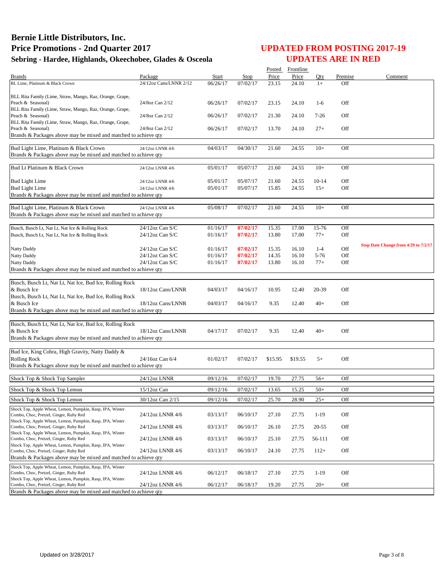|                                                                                                     |                        |              |             | Posted  | Frontline |           |         |                                      |
|-----------------------------------------------------------------------------------------------------|------------------------|--------------|-------------|---------|-----------|-----------|---------|--------------------------------------|
| <b>Brands</b>                                                                                       | Package                | <b>Start</b> | <b>Stop</b> | Price   | Price     | Oty       | Premise | Comment                              |
| BL Lime, Platinum & Black Crown                                                                     | 24/12oz Cans/LNNR 2/12 | 06/26/17     | 07/02/17    | 23.15   | 24.10     | $1+$      | Off     |                                      |
|                                                                                                     |                        |              |             |         |           |           |         |                                      |
| BLL Rita Family (Lime, Straw, Mango, Raz, Orange, Grape,<br>Peach & Seasonal)                       | 24/8oz Can 2/12        | 06/26/17     | 07/02/17    | 23.15   | 24.10     | $1-6$     | Off     |                                      |
| BLL Rita Family (Lime, Straw, Mango, Raz, Orange, Grape,                                            |                        |              |             |         |           |           |         |                                      |
| Peach & Seasonal)                                                                                   | 24/8oz Can 2/12        | 06/26/17     | 07/02/17    | 21.30   | 24.10     | $7 - 26$  | Off     |                                      |
| BLL Rita Family (Lime, Straw, Mango, Raz, Orange, Grape,                                            |                        |              |             |         |           |           |         |                                      |
| Peach & Seasonal)                                                                                   | 24/8oz Can 2/12        | 06/26/17     | 07/02/17    | 13.70   | 24.10     | $27+$     | Off     |                                      |
| Brands & Packages above may be mixed and matched to achieve qty                                     |                        |              |             |         |           |           |         |                                      |
| Bud Light Lime, Platinum & Black Crown                                                              | 24/12oz LNNR 4/6       | 04/03/17     | 04/30/17    | 21.60   | 24.55     | $10+$     | Off     |                                      |
| Brands & Packages above may be mixed and matched to achieve qty                                     |                        |              |             |         |           |           |         |                                      |
|                                                                                                     |                        |              |             |         |           |           |         |                                      |
| Bud Lt Platinum & Black Crown                                                                       | 24/12oz LNNR 4/6       | 05/01/17     | 05/07/17    | 21.60   | 24.55     | $10+$     | Off     |                                      |
|                                                                                                     |                        |              |             |         |           |           |         |                                      |
| <b>Bud Light Lime</b>                                                                               | 24/12oz LNNR 4/6       | 05/01/17     | 05/07/17    | 21.60   | 24.55     | $10 - 14$ | Off     |                                      |
| <b>Bud Light Lime</b>                                                                               | 24/12oz LNNR 4/6       | 05/01/17     | 05/07/17    | 15.85   | 24.55     | $15+$     | Off     |                                      |
| Brands & Packages above may be mixed and matched to achieve qty                                     |                        |              |             |         |           |           |         |                                      |
| Bud Light Lime, Platinum & Black Crown                                                              | 24/12oz LNNR 4/6       | 05/08/17     | 07/02/17    | 21.60   | 24.55     | $10+$     | Off     |                                      |
| Brands & Packages above may be mixed and matched to achieve qty                                     |                        |              |             |         |           |           |         |                                      |
|                                                                                                     |                        |              |             |         |           |           |         |                                      |
| Busch, Busch Lt, Nat Lt, Nat Ice & Rolling Rock                                                     | 24/12oz Can S/C        | 01/16/17     | 07/02/17    | 15.35   | 17.00     | 15-76     | Off     |                                      |
| Busch, Busch Lt, Nat Lt, Nat Ice & Rolling Rock                                                     | 24/12oz Can S/C        | 01/16/17     | 07/02/17    | 13.80   | 17.00     | $77+$     | Off     |                                      |
|                                                                                                     |                        |              |             |         |           |           |         | Stop Date Change from 4/29 to 7/2/17 |
| Natty Daddy                                                                                         | 24/12oz Can S/C        | 01/16/17     | 07/02/17    | 15.35   | 16.10     | $1 - 4$   | Off     |                                      |
| Natty Daddy                                                                                         | 24/12oz Can S/C        | 01/16/17     | 07/02/17    | 14.35   | 16.10     | 5-76      | Off     |                                      |
| Natty Daddy                                                                                         | 24/12oz Can S/C        | 01/16/17     | 07/02/17    | 13.80   | 16.10     | $77+$     | Off     |                                      |
| Brands & Packages above may be mixed and matched to achieve qty                                     |                        |              |             |         |           |           |         |                                      |
|                                                                                                     |                        |              |             |         |           |           |         |                                      |
| Busch, Busch Lt, Nat Lt, Nat Ice, Bud Ice, Rolling Rock                                             |                        |              |             |         |           |           |         |                                      |
| & Busch Ice                                                                                         | 18/12oz Cans/LNNR      | 04/03/17     | 04/16/17    | 10.95   | 12.40     | 20-39     | Off     |                                      |
| Busch, Busch Lt, Nat Lt, Nat Ice, Bud Ice, Rolling Rock<br>& Busch Ice                              | 18/12oz Cans/LNNR      | 04/03/17     | 04/16/17    | 9.35    | 12.40     | $40+$     | Off     |                                      |
| Brands & Packages above may be mixed and matched to achieve qty                                     |                        |              |             |         |           |           |         |                                      |
|                                                                                                     |                        |              |             |         |           |           |         |                                      |
| Busch, Busch Lt, Nat Lt, Nat Ice, Bud Ice, Rolling Rock                                             |                        |              |             |         |           |           |         |                                      |
| & Busch Ice                                                                                         | 18/12oz Cans/LNNR      | 04/17/17     | 07/02/17    | 9.35    | 12.40     | $40+$     | Off     |                                      |
| Brands & Packages above may be mixed and matched to achieve qty                                     |                        |              |             |         |           |           |         |                                      |
|                                                                                                     |                        |              |             |         |           |           |         |                                      |
| Bud Ice, King Cobra, High Gravity, Natty Daddy &                                                    |                        |              |             |         |           |           |         |                                      |
| <b>Rolling Rock</b>                                                                                 | 24/16oz Can 6/4        | 01/02/17     | 07/02/17    | \$15.95 | \$19.55   | $5+$      | Off     |                                      |
| Brands & Packages above may be mixed and matched to achieve qty                                     |                        |              |             |         |           |           |         |                                      |
|                                                                                                     |                        |              |             |         |           |           |         |                                      |
| Shock Top & Shock Top Sampler                                                                       | 24/12oz LNNR           | 09/12/16     | 07/02/17    | 19.70   | 27.75     | $56+$     | Off     |                                      |
| Shock Top & Shock Top Lemon                                                                         | 15/12oz Can            | 09/12/16     | 07/02/17    | 13.65   | 15.25     | $50+$     | Off     |                                      |
| Shock Top & Shock Top Lemon                                                                         | 30/12oz Can 2/15       | 09/12/16     | 07/02/17    | 25.70   | 28.90     | $25+$     | Off     |                                      |
| Shock Top, Apple Wheat, Lemon, Pumpkin, Rasp, IPA, Winter                                           |                        |              |             |         |           |           |         |                                      |
| Combo, Choc, Pretzel, Ginger, Ruby Red                                                              | 24/12oz LNNR 4/6       | 03/13/17     | 06/10/17    | 27.10   | 27.75     | $1 - 19$  | Off     |                                      |
| Shock Top, Apple Wheat, Lemon, Pumpkin, Rasp, IPA, Winter                                           |                        |              |             |         |           |           |         |                                      |
| Combo, Choc, Pretzel, Ginger, Ruby Red                                                              | 24/12oz LNNR 4/6       | 03/13/17     | 06/10/17    | 26.10   | 27.75     | 20-55     | Off     |                                      |
| Shock Top, Apple Wheat, Lemon, Pumpkin, Rasp, IPA, Winter                                           |                        |              |             |         |           |           |         |                                      |
| Combo, Choc, Pretzel, Ginger, Ruby Red                                                              | 24/12oz LNNR 4/6       | 03/13/17     | 06/10/17    | 25.10   | 27.75     | 56-111    | Off     |                                      |
| Shock Top, Apple Wheat, Lemon, Pumpkin, Rasp, IPA, Winter<br>Combo, Choc, Pretzel, Ginger, Ruby Red | 24/12oz LNNR 4/6       | 03/13/17     | 06/10/17    | 24.10   | 27.75     | $112+$    | Off     |                                      |
| Brands & Packages above may be mixed and matched to achieve qty                                     |                        |              |             |         |           |           |         |                                      |
|                                                                                                     |                        |              |             |         |           |           |         |                                      |
| Shock Top, Apple Wheat, Lemon, Pumpkin, Rasp, IPA, Winter<br>Combo, Choc, Pretzel, Ginger, Ruby Red | 24/12oz LNNR 4/6       | 06/12/17     | 06/18/17    | 27.10   | 27.75     | $1 - 19$  | Off     |                                      |
| Shock Top, Apple Wheat, Lemon, Pumpkin, Rasp, IPA, Winter                                           |                        |              |             |         |           |           |         |                                      |
| Combo, Choc, Pretzel, Ginger, Ruby Red                                                              | 24/12oz LNNR 4/6       | 06/12/17     | 06/18/17    | 19.20   | 27.75     | $20+$     | Off     |                                      |
| Brands & Packages above may be mixed and matched to achieve qty                                     |                        |              |             |         |           |           |         |                                      |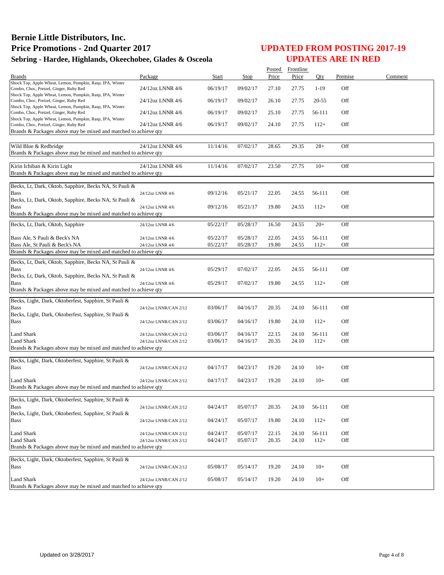|                                                                                                     |                       |              |          | Posted | Frontline |        |         |         |
|-----------------------------------------------------------------------------------------------------|-----------------------|--------------|----------|--------|-----------|--------|---------|---------|
| <b>Brands</b>                                                                                       | Package               | <b>Start</b> | Stop     | Price  | Price     | Oty    | Premise | Comment |
| Shock Top, Apple Wheat, Lemon, Pumpkin, Rasp, IPA, Winter<br>Combo, Choc, Pretzel, Ginger, Ruby Red | 24/12oz LNNR 4/6      | 06/19/17     | 09/02/17 | 27.10  | 27.75     | $1-19$ | Off     |         |
| Shock Top, Apple Wheat, Lemon, Pumpkin, Rasp, IPA, Winter<br>Combo, Choc, Pretzel, Ginger, Ruby Red | 24/12oz LNNR 4/6      | 06/19/17     | 09/02/17 | 26.10  | 27.75     | 20-55  | Off     |         |
| Shock Top, Apple Wheat, Lemon, Pumpkin, Rasp, IPA, Winter                                           | 24/12oz LNNR 4/6      |              |          |        |           | 56-111 | Off     |         |
| Combo, Choc, Pretzel, Ginger, Ruby Red<br>Shock Top, Apple Wheat, Lemon, Pumpkin, Rasp, IPA, Winter |                       | 06/19/17     | 09/02/17 | 25.10  | 27.75     |        |         |         |
| Combo, Choc, Pretzel, Ginger, Ruby Red                                                              | 24/12oz LNNR 4/6      | 06/19/17     | 09/02/17 | 24.10  | 27.75     | $112+$ | Off     |         |
| Brands & Packages above may be mixed and matched to achieve qty                                     |                       |              |          |        |           |        |         |         |
|                                                                                                     |                       |              |          |        |           |        |         |         |
| Wild Blue & Redbridge                                                                               | 24/12oz LNNR 4/6      | 11/14/16     | 07/02/17 | 28.65  | 29.35     | $28+$  | Off     |         |
| Brands & Packages above may be mixed and matched to achieve qty                                     |                       |              |          |        |           |        |         |         |
|                                                                                                     | 24/12oz LNNR 4/6      |              |          |        |           |        |         |         |
| Kirin Ichiban & Kirin Light<br>Brands & Packages above may be mixed and matched to achieve qty      |                       | 11/14/16     | 07/02/17 | 23.50  | 27.75     | $10+$  | Off     |         |
|                                                                                                     |                       |              |          |        |           |        |         |         |
| Becks, Lt, Dark, Oktob, Sapphire, Becks NA, St Pauli &                                              |                       |              |          |        |           |        |         |         |
| <b>Bass</b>                                                                                         | 24/12oz LNNR 4/6      | 09/12/16     | 05/21/17 | 22.05  | 24.55     | 56-111 | Off     |         |
| Becks, Lt, Dark, Oktob, Sapphire, Becks NA, St Pauli &                                              |                       |              |          |        |           |        |         |         |
| <b>Bass</b>                                                                                         | 24/12oz LNNR 4/6      | 09/12/16     | 05/21/17 | 19.80  | 24.55     | $112+$ | Off     |         |
| Brands & Packages above may be mixed and matched to achieve qty                                     |                       |              |          |        |           |        |         |         |
| Becks, Lt, Dark, Oktob, Sapphire                                                                    | 24/12oz LNNR 4/6      | 05/22/17     | 05/28/17 | 16.50  | 24.55     | $20+$  | Off     |         |
| Bass Ale, S Pauli & Beck's NA                                                                       | 24/12oz LNNR 4/6      | 05/22/17     | 05/28/17 | 22.05  | 24.55     | 56-111 | Off     |         |
| Bass Ale, St Pauli & Beck's NA                                                                      | 24/12oz LNNR 4/6      | 05/22/17     | 05/28/17 | 19.80  | 24.55     | $112+$ | Off     |         |
| Brands & Packages above may be mixed and matched to achieve qty                                     |                       |              |          |        |           |        |         |         |
|                                                                                                     |                       |              |          |        |           |        |         |         |
| Becks, Lt, Dark, Oktob, Sapphire, Becks NA, St Pauli &<br><b>Bass</b>                               |                       |              | 07/02/17 | 22.05  |           |        | Off     |         |
| Becks, Lt, Dark, Oktob, Sapphire, Becks NA, St Pauli &                                              | 24/12oz LNNR 4/6      | 05/29/17     |          |        | 24.55     | 56-111 |         |         |
| <b>Bass</b>                                                                                         | 24/12oz LNNR 4/6      | 05/29/17     | 07/02/17 | 19.80  | 24.55     | $112+$ | Off     |         |
| Brands & Packages above may be mixed and matched to achieve qty                                     |                       |              |          |        |           |        |         |         |
|                                                                                                     |                       |              |          |        |           |        |         |         |
| Becks, Light, Dark, Oktoberfest, Sapphire, St Pauli &                                               |                       |              |          |        |           |        |         |         |
| <b>Bass</b>                                                                                         | 24/12oz LNNR/CAN 2/12 | 03/06/17     | 04/16/17 | 20.35  | 24.10     | 56-111 | Off     |         |
| Becks, Light, Dark, Oktoberfest, Sapphire, St Pauli &<br><b>Bass</b>                                | 24/12oz LNNR/CAN 2/12 | 03/06/17     | 04/16/17 | 19.80  | 24.10     | $112+$ | Off     |         |
|                                                                                                     |                       |              |          |        |           |        |         |         |
| <b>Land Shark</b>                                                                                   | 24/12oz LNNR/CAN 2/12 | 03/06/17     | 04/16/17 | 22.15  | 24.10     | 56-111 | Off     |         |
| <b>Land Shark</b>                                                                                   | 24/12oz LNNR/CAN 2/12 | 03/06/17     | 04/16/17 | 20.35  | 24.10     | $112+$ | Off     |         |
| Brands & Packages above may be mixed and matched to achieve qty                                     |                       |              |          |        |           |        |         |         |
|                                                                                                     |                       |              |          |        |           |        |         |         |
| Becks, Light, Dark, Oktoberfest, Sapphire, St Pauli &                                               |                       |              |          |        |           |        |         |         |
| <b>Bass</b>                                                                                         | 24/12oz LNNR/CAN 2/12 | 04/17/17     | 04/23/17 | 19.20  | 24.10     | $10+$  | Off     |         |
| <b>Land Shark</b>                                                                                   | 24/12oz LNNR/CAN 2/12 | 04/17/17     | 04/23/17 | 19.20  | 24.10     | $10+$  | Off     |         |
| Brands & Packages above may be mixed and matched to achieve qty                                     |                       |              |          |        |           |        |         |         |
|                                                                                                     |                       |              |          |        |           |        |         |         |
| Becks, Light, Dark, Oktoberfest, Sapphire, St Pauli &                                               |                       |              |          |        |           |        |         |         |
| <b>Bass</b>                                                                                         | 24/12oz LNNR/CAN 2/12 | 04/24/17     | 05/07/17 | 20.35  | 24.10     | 56-111 | Off     |         |
| Becks, Light, Dark, Oktoberfest, Sapphire, St Pauli &                                               |                       |              |          |        |           |        |         |         |
| Bass                                                                                                | 24/12oz LNNR/CAN 2/12 | 04/24/17     | 05/07/17 | 19.80  | 24.10     | $112+$ | Off     |         |
| <b>Land Shark</b>                                                                                   | 24/12oz LNNR/CAN 2/12 | 04/24/17     | 05/07/17 | 22.15  | 24.10     | 56-111 | Off     |         |
| <b>Land Shark</b>                                                                                   | 24/12oz LNNR/CAN 2/12 | 04/24/17     | 05/07/17 | 20.35  | 24.10     | $112+$ | Off     |         |
| Brands & Packages above may be mixed and matched to achieve qty                                     |                       |              |          |        |           |        |         |         |
|                                                                                                     |                       |              |          |        |           |        |         |         |
| Becks, Light, Dark, Oktoberfest, Sapphire, St Pauli &                                               |                       |              |          |        |           |        |         |         |
| <b>Bass</b>                                                                                         | 24/12oz LNNR/CAN 2/12 | 05/08/17     | 05/14/17 | 19.20  | 24.10     | $10+$  | Off     |         |
|                                                                                                     |                       |              |          |        |           |        |         |         |
| Land Shark<br>Brands & Packages above may be mixed and matched to achieve qty                       | 24/12oz LNNR/CAN 2/12 | 05/08/17     | 05/14/17 | 19.20  | 24.10     | $10+$  | Off     |         |
|                                                                                                     |                       |              |          |        |           |        |         |         |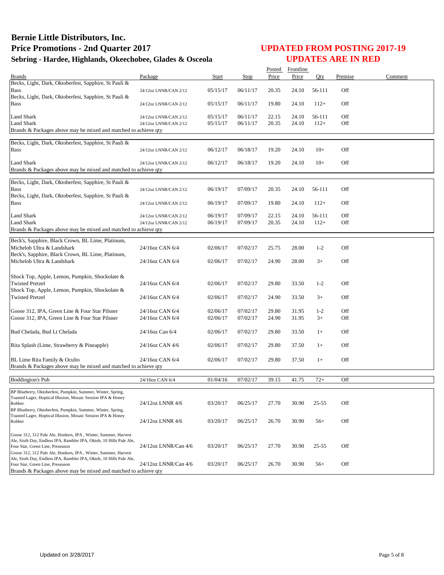|                                                                                                                            |                       |          |             | Posted | Frontline |           |         |         |
|----------------------------------------------------------------------------------------------------------------------------|-----------------------|----------|-------------|--------|-----------|-----------|---------|---------|
| Brands                                                                                                                     | Package               | Start    | <b>Stop</b> | Price  | Price     | Oty       | Premise | Comment |
| Becks, Light, Dark, Oktoberfest, Sapphire, St Pauli &                                                                      |                       |          |             |        |           |           |         |         |
| Bass                                                                                                                       | 24/12oz LNNR/CAN 2/12 | 05/15/17 | 06/11/17    | 20.35  | 24.10     | 56-111    | Off     |         |
| Becks, Light, Dark, Oktoberfest, Sapphire, St Pauli &                                                                      |                       |          |             |        |           |           |         |         |
| Bass                                                                                                                       | 24/12oz LNNR/CAN 2/12 | 05/15/17 | 06/11/17    | 19.80  | 24.10     | $112+$    | Off     |         |
| Land Shark                                                                                                                 | 24/12oz LNNR/CAN 2/12 | 05/15/17 | 06/11/17    | 22.15  | 24.10     | 56-111    | Off     |         |
| Land Shark                                                                                                                 | 24/12oz LNNR/CAN 2/12 | 05/15/17 | 06/11/17    | 20.35  | 24.10     | $112+$    | Off     |         |
| Brands & Packages above may be mixed and matched to achieve qty                                                            |                       |          |             |        |           |           |         |         |
|                                                                                                                            |                       |          |             |        |           |           |         |         |
| Becks, Light, Dark, Oktoberfest, Sapphire, St Pauli &                                                                      |                       |          |             |        |           |           |         |         |
| <b>Bass</b>                                                                                                                | 24/12oz LNNR/CAN 2/12 | 06/12/17 | 06/18/17    | 19.20  | 24.10     | $10+$     | Off     |         |
| Land Shark                                                                                                                 | 24/12oz LNNR/CAN 2/12 | 06/12/17 | 06/18/17    | 19.20  | 24.10     | $10+$     | Off     |         |
| Brands & Packages above may be mixed and matched to achieve qty                                                            |                       |          |             |        |           |           |         |         |
|                                                                                                                            |                       |          |             |        |           |           |         |         |
| Becks, Light, Dark, Oktoberfest, Sapphire, St Pauli &                                                                      |                       |          |             |        |           |           |         |         |
| <b>Bass</b>                                                                                                                | 24/12oz LNNR/CAN 2/12 | 06/19/17 | 07/09/17    | 20.35  | 24.10     | 56-111    | Off     |         |
| Becks, Light, Dark, Oktoberfest, Sapphire, St Pauli &                                                                      |                       |          |             |        |           |           |         |         |
| Bass                                                                                                                       | 24/12oz LNNR/CAN 2/12 | 06/19/17 | 07/09/17    | 19.80  | 24.10     | $112+$    | Off     |         |
| Land Shark                                                                                                                 | 24/12oz LNNR/CAN 2/12 | 06/19/17 | 07/09/17    | 22.15  | 24.10     | 56-111    | Off     |         |
| <b>Land Shark</b>                                                                                                          | 24/12oz LNNR/CAN 2/12 | 06/19/17 | 07/09/17    | 20.35  | 24.10     | $112+$    | Off     |         |
| Brands & Packages above may be mixed and matched to achieve qty                                                            |                       |          |             |        |           |           |         |         |
|                                                                                                                            |                       |          |             |        |           |           |         |         |
| Beck's, Sapphire, Black Crown, BL Lime, Platinum,                                                                          |                       |          |             |        |           |           |         |         |
| Michelob Ultra & Landshark                                                                                                 | 24/16oz CAN 6/4       | 02/06/17 | 07/02/17    | 25.75  | 28.00     | $1-2$     | Off     |         |
| Beck's, Sapphire, Black Crown, BL Lime, Platinum,<br>Michelob Ultra & Landshark                                            | 24/16oz CAN 6/4       | 02/06/17 | 07/02/17    | 24.90  | 28.00     | $3+$      | Off     |         |
|                                                                                                                            |                       |          |             |        |           |           |         |         |
| Shock Top, Apple, Lemon, Pumpkin, Shockolate &                                                                             |                       |          |             |        |           |           |         |         |
| <b>Twisted Pretzel</b>                                                                                                     | 24/16oz CAN 6/4       | 02/06/17 | 07/02/17    | 29.80  | 33.50     | $1 - 2$   | Off     |         |
| Shock Top, Apple, Lemon, Pumpkin, Shockolate &                                                                             |                       |          |             |        |           |           |         |         |
| <b>Twisted Pretzel</b>                                                                                                     | 24/16oz CAN 6/4       | 02/06/17 | 07/02/17    | 24.90  | 33.50     | $3+$      | Off     |         |
|                                                                                                                            |                       |          |             |        |           |           |         |         |
| Goose 312, IPA, Green Line & Four Star Pilsner                                                                             | 24/16oz CAN 6/4       | 02/06/17 | 07/02/17    | 29.80  | 31.95     | $1 - 2$   | Off     |         |
| Goose 312, IPA, Green Line & Four Star Pilsner                                                                             | 24/16oz CAN 6/4       | 02/06/17 | 07/02/17    | 24.90  | 31.95     | $3+$      | Off     |         |
|                                                                                                                            |                       |          |             |        |           |           |         |         |
| Bud Chelada, Bud Lt Chelada                                                                                                | 24/16oz Can 6/4       | 02/06/17 | 07/02/17    | 29.80  | 33.50     | $1+$      | Off     |         |
|                                                                                                                            |                       |          |             |        |           |           |         |         |
| Rita Splash (Lime, Strawberry & Pineapple)                                                                                 | 24/16oz CAN 4/6       | 02/06/17 | 07/02/17    | 29.80  | 37.50     | $1+$      | Off     |         |
|                                                                                                                            | 24/16oz CAN 6/4       |          | 07/02/17    |        |           | $1+$      | Off     |         |
| BL Lime Rita Family & Oculto<br>Brands & Packages above may be mixed and matched to achieve qty                            |                       | 02/06/17 |             | 29.80  | 37.50     |           |         |         |
|                                                                                                                            |                       |          |             |        |           |           |         |         |
| <b>Boddington's Pub</b>                                                                                                    | 24/16oz CAN 6/4       | 01/04/16 | 07/02/17    | 39.15  | 41.75     | $72+$     | Off     |         |
|                                                                                                                            |                       |          |             |        |           |           |         |         |
| BP Blueberry, Oktoberfest, Pumpkin, Summer, Winter, Spring<br>Toasted Lager, Hoptical Illusion, Mosaic Session IPA & Honey |                       |          |             |        |           |           |         |         |
| Robber                                                                                                                     | 24/12oz LNNR 4/6      | 03/20/17 | 06/25/17    | 27.70  | 30.90     | $25 - 55$ | Off     |         |
| BP Blueberry, Oktoberfest, Pumpkin, Summer, Winter, Spring,                                                                |                       |          |             |        |           |           |         |         |
| Toasted Lager, Hoptical Illusion, Mosaic Session IPA & Honey                                                               |                       |          |             |        |           |           |         |         |
| Robber                                                                                                                     | 24/12oz LNNR 4/6      | 03/20/17 | 06/25/17    | 26.70  | 30.90     | $56+$     | Off     |         |
| Goose 312, 312 Pale Ale, Honkers, IPA, Winter, Summer, Harvest                                                             |                       |          |             |        |           |           |         |         |
| Ale, Sixth Day, Endless IPA, Rambler IPA, Oktob, 10 Hills Pale Ale,                                                        |                       |          |             |        |           |           |         |         |
| Four Star, Green Line, Preseason                                                                                           | 24/12oz LNNR/Can 4/6  | 03/20/17 | 06/25/17    | 27.70  | 30.90     | $25 - 55$ | Off     |         |
| Goose 312, 312 Pale Ale, Honkers, IPA, Winter, Summer, Harvest                                                             |                       |          |             |        |           |           |         |         |
| Ale, Sixth Day, Endless IPA, Rambler IPA, Oktob, 10 Hills Pale Ale,<br>Four Star, Green Line, Preseason                    | 24/12oz LNNR/Can 4/6  | 03/20/17 | 06/25/17    | 26.70  | 30.90     | $56+$     | Off     |         |
| Brands & Packages above may be mixed and matched to achieve qty                                                            |                       |          |             |        |           |           |         |         |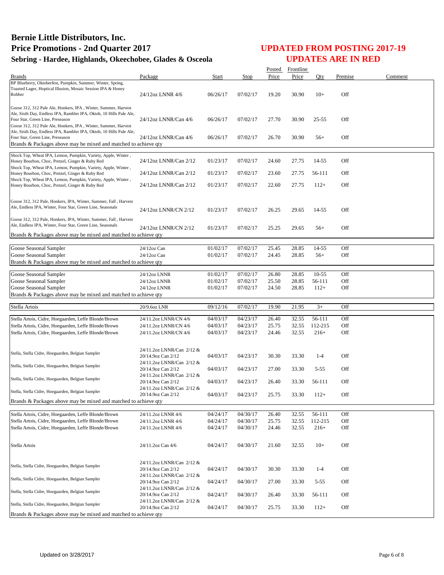|                                                                                                                                |                                                 |          |          |                | Posted Frontline |           |         |         |
|--------------------------------------------------------------------------------------------------------------------------------|-------------------------------------------------|----------|----------|----------------|------------------|-----------|---------|---------|
| <b>Brands</b>                                                                                                                  | Package                                         | Start    | Stop     | Price          | Price            | Oty       | Premise | Comment |
| BP Blueberry, Oktoberfest, Pumpkin, Summer, Winter, Spring,<br>Toasted Lager, Hoptical Illusion, Mosaic Session IPA & Honey    |                                                 |          |          |                |                  |           |         |         |
| Robber                                                                                                                         | 24/12oz LNNR 4/6                                | 06/26/17 | 07/02/17 | 19.20          | 30.90            | $10+$     | Off     |         |
|                                                                                                                                |                                                 |          |          |                |                  |           |         |         |
| Goose 312, 312 Pale Ale, Honkers, IPA, Winter, Summer, Harvest                                                                 |                                                 |          |          |                |                  |           |         |         |
| Ale, Sixth Day, Endless IPA, Rambler IPA, Oktob, 10 Hills Pale Ale,                                                            |                                                 |          |          |                |                  |           |         |         |
| Four Star, Green Line, Preseason<br>Goose 312, 312 Pale Ale, Honkers, IPA, Winter, Summer, Harvest                             | 24/12oz LNNR/Can 4/6                            | 06/26/17 | 07/02/17 | 27.70          | 30.90            | $25 - 55$ | Off     |         |
| Ale, Sixth Day, Endless IPA, Rambler IPA, Oktob, 10 Hills Pale Ale,                                                            |                                                 |          |          |                |                  |           |         |         |
| Four Star, Green Line, Preseason                                                                                               | 24/12oz LNNR/Can 4/6                            | 06/26/17 | 07/02/17 | 26.70          | 30.90            | $56+$     | Off     |         |
| Brands & Packages above may be mixed and matched to achieve qty                                                                |                                                 |          |          |                |                  |           |         |         |
| Shock Top, Wheat IPA, Lemon, Pumpkin, Variety, Apple, Winter,                                                                  |                                                 |          |          |                |                  |           |         |         |
| Honey Bourbon, Choc, Pretzel, Ginger & Ruby Red                                                                                | 24/12oz LNNR/Can 2/12                           | 01/23/17 | 07/02/17 | 24.60          | 27.75            | 14-55     | Off     |         |
| Shock Top, Wheat IPA, Lemon, Pumpkin, Variety, Apple, Winter,                                                                  |                                                 |          |          |                |                  |           |         |         |
| Honey Bourbon, Choc, Pretzel, Ginger & Ruby Red                                                                                | 24/12oz LNNR/Can 2/12                           | 01/23/17 | 07/02/17 | 23.60          | 27.75            | 56-111    | Off     |         |
| Shock Top, Wheat IPA, Lemon, Pumpkin, Variety, Apple, Winter,                                                                  | 24/12oz LNNR/Can 2/12                           | 01/23/17 | 07/02/17 | 22.60          | 27.75            | $112+$    | Off     |         |
| Honey Bourbon, Choc, Pretzel, Ginger & Ruby Red                                                                                |                                                 |          |          |                |                  |           |         |         |
|                                                                                                                                |                                                 |          |          |                |                  |           |         |         |
| Goose 312, 312 Pale, Honkers, IPA, Winter, Summer, Fall, Harvest<br>Ale, Endless IPA, Winter, Four Star, Green Line, Seasonals |                                                 |          |          |                |                  |           |         |         |
|                                                                                                                                | 24/12oz LNNR/CN 2/12                            | 01/23/17 | 07/02/17 | 26.25          | 29.65            | 14-55     | Off     |         |
| Goose 312, 312 Pale, Honkers, IPA, Winter, Summer, Fall, Harvest                                                               |                                                 |          |          |                |                  |           |         |         |
| Ale, Endless IPA, Winter, Four Star, Green Line, Seasonals                                                                     | 24/12oz LNNR/CN 2/12                            | 01/23/17 | 07/02/17 | 25.25          | 29.65            | $56+$     | Off     |         |
| Brands & Packages above may be mixed and matched to achieve qty                                                                |                                                 |          |          |                |                  |           |         |         |
|                                                                                                                                |                                                 |          |          |                |                  |           |         |         |
| Goose Seasonal Sampler                                                                                                         | 24/12oz Can                                     | 01/02/17 | 07/02/17 | 25.45          | 28.85            | 14-55     | Off     |         |
| Goose Seasonal Sampler                                                                                                         | 24/12oz Can                                     | 01/02/17 | 07/02/17 | 24.45          | 28.85            | $56+$     | Off     |         |
| Brands & Packages above may be mixed and matched to achieve qty                                                                |                                                 |          |          |                |                  |           |         |         |
|                                                                                                                                |                                                 | 01/02/17 | 07/02/17 |                |                  | $10 - 55$ | Off     |         |
| Goose Seasonal Sampler<br>Goose Seasonal Sampler                                                                               | 24/12oz LNNR<br>24/12oz LNNR                    | 01/02/17 | 07/02/17 | 26.80<br>25.50 | 28.85<br>28.85   | 56-111    | Off     |         |
| Goose Seasonal Sampler                                                                                                         | 24/12oz LNNR                                    | 01/02/17 | 07/02/17 | 24.50          | 28.85            | $112+$    | Off     |         |
| Brands & Packages above may be mixed and matched to achieve qty                                                                |                                                 |          |          |                |                  |           |         |         |
|                                                                                                                                |                                                 |          |          |                |                  |           |         |         |
| Stella Artois                                                                                                                  | 20/9.6oz LNR                                    | 09/12/16 | 07/02/17 | 19.90          | 21.95            | $3+$      | Off     |         |
|                                                                                                                                |                                                 | 04/03/17 | 04/23/17 | 26.40          | 32.55            | 56-111    | Off     |         |
| Stella Artois, Cidre, Hoegaarden, Leffe Blonde/Brown<br>Stella Artois, Cidre, Hoegaarden, Leffe Blonde/Brown                   | 24/11.2oz LNNR/CN 4/6<br>24/11.2oz LNNR/CN 4/6  | 04/03/17 | 04/23/17 | 25.75          | 32.55            | 112-215   | Off     |         |
| Stella Artois, Cidre, Hoegaarden, Leffe Blonde/Brown                                                                           | 24/11.2oz LNNR/CN 4/6                           | 04/03/17 | 04/23/17 | 24.46          | 32.55            | $216+$    | Off     |         |
|                                                                                                                                |                                                 |          |          |                |                  |           |         |         |
|                                                                                                                                |                                                 |          |          |                |                  |           |         |         |
| Stella, Stella Cidre, Hoegaarden, Belgian Sampler                                                                              | 24/11.2oz LNNR/Can 2/12 &<br>20/14.9oz Can 2/12 | 04/03/17 | 04/23/17 | 30.30          | 33.30            | $1 - 4$   | Off     |         |
|                                                                                                                                | 24/11.2oz LNNR/Can 2/12 &                       |          |          |                |                  |           |         |         |
| Stella, Stella Cidre, Hoegaarden, Belgian Sampler                                                                              | 20/14.9oz Can 2/12                              | 04/03/17 | 04/23/17 | 27.00          | 33.30            | $5 - 55$  | Off     |         |
|                                                                                                                                | 24/11.2oz LNNR/Can 2/12 &                       |          |          |                |                  |           |         |         |
| Stella, Stella Cidre, Hoegaarden, Belgian Sampler                                                                              | 20/14.9oz Can 2/12                              | 04/03/17 | 04/23/17 | 26.40          | 33.30            | 56-111    | Off     |         |
| Stella, Stella Cidre, Hoegaarden, Belgian Sampler                                                                              | 24/11.2oz LNNR/Can 2/12 &                       |          |          |                |                  |           |         |         |
|                                                                                                                                | 20/14.9oz Can 2/12                              | 04/03/17 | 04/23/17 | 25.75          | 33.30            | $112+$    | Off     |         |
| Brands & Packages above may be mixed and matched to achieve qty                                                                |                                                 |          |          |                |                  |           |         |         |
| Stella Artois, Cidre, Hoegaarden, Leffe Blonde/Brown                                                                           | 24/11.2oz LNNR 4/6                              | 04/24/17 | 04/30/17 | 26.40          | 32.55            | 56-111    | Off     |         |
| Stella Artois, Cidre, Hoegaarden, Leffe Blonde/Brown                                                                           | 24/11.2oz LNNR 4/6                              | 04/24/17 | 04/30/17 | 25.75          | 32.55            | 112-215   | Off     |         |
| Stella Artois, Cidre, Hoegaarden, Leffe Blonde/Brown                                                                           | 24/11.2oz LNNR 4/6                              | 04/24/17 | 04/30/17 | 24.46          | 32.55            | $216+$    | Off     |         |
|                                                                                                                                |                                                 |          |          |                |                  |           |         |         |
|                                                                                                                                |                                                 |          | 04/30/17 |                |                  | $10+$     | Off     |         |
| Stella Artois                                                                                                                  | 24/11.2oz Can 4/6                               | 04/24/17 |          | 21.60          | 32.55            |           |         |         |
|                                                                                                                                |                                                 |          |          |                |                  |           |         |         |
| Stella, Stella Cidre, Hoegaarden, Belgian Sampler                                                                              | 24/11.2oz LNNR/Can 2/12 &                       |          |          |                |                  |           |         |         |
|                                                                                                                                | 20/14.9oz Can 2/12                              | 04/24/17 | 04/30/17 | 30.30          | 33.30            | $1 - 4$   | Off     |         |
| Stella, Stella Cidre, Hoegaarden, Belgian Sampler                                                                              | 24/11.2oz LNNR/Can 2/12 &<br>20/14.9oz Can 2/12 | 04/24/17 | 04/30/17 | 27.00          | 33.30            | $5 - 55$  | Off     |         |
|                                                                                                                                | 24/11.2oz LNNR/Can 2/12 &                       |          |          |                |                  |           |         |         |
| Stella, Stella Cidre, Hoegaarden, Belgian Sampler                                                                              | 20/14.9oz Can 2/12                              | 04/24/17 | 04/30/17 | 26.40          | 33.30            | 56-111    | Off     |         |
| Stella, Stella Cidre, Hoegaarden, Belgian Sampler                                                                              | 24/11.2oz LNNR/Can 2/12 &                       |          |          |                |                  |           |         |         |
|                                                                                                                                | 20/14.9oz Can 2/12                              | 04/24/17 | 04/30/17 | 25.75          | 33.30            | $112+$    | Off     |         |
| Brands & Packages above may be mixed and matched to achieve qty                                                                |                                                 |          |          |                |                  |           |         |         |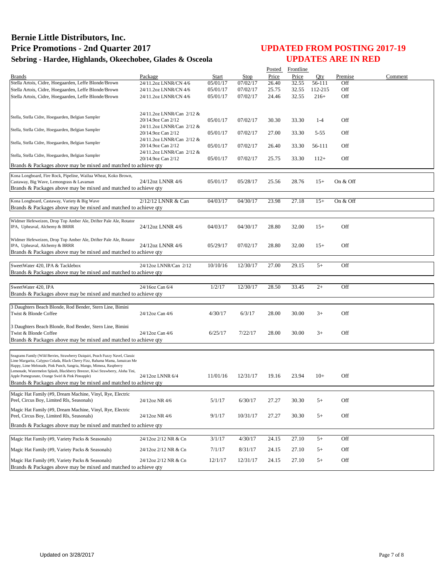|                                                                                                                                                               |                                                 |          |          |       | Posted Frontline |         |          |         |
|---------------------------------------------------------------------------------------------------------------------------------------------------------------|-------------------------------------------------|----------|----------|-------|------------------|---------|----------|---------|
| <b>Brands</b>                                                                                                                                                 | Package                                         | Start    | Stop     | Price | Price            | Oty     | Premise  | Comment |
| Stella Artois, Cidre, Hoegaarden, Leffe Blonde/Brown                                                                                                          | 24/11.2oz LNNR/CN 4/6                           | 05/01/17 | 07/02/17 | 26.40 | 32.55            | 56-111  | Off      |         |
| Stella Artois, Cidre, Hoegaarden, Leffe Blonde/Brown                                                                                                          | 24/11.2oz LNNR/CN 4/6                           | 05/01/17 | 07/02/17 | 25.75 | 32.55            | 112-215 | Off      |         |
| Stella Artois, Cidre, Hoegaarden, Leffe Blonde/Brown                                                                                                          | 24/11.2oz LNNR/CN 4/6                           | 05/01/17 | 07/02/17 | 24.46 | 32.55            | $216+$  | Off      |         |
|                                                                                                                                                               |                                                 |          |          |       |                  |         |          |         |
|                                                                                                                                                               | 24/11.2oz LNNR/Can 2/12 &                       |          |          |       |                  |         |          |         |
| Stella, Stella Cidre, Hoegaarden, Belgian Sampler                                                                                                             | 20/14.9oz Can 2/12                              | 05/01/17 | 07/02/17 | 30.30 | 33.30            | $1 - 4$ | Off      |         |
| Stella, Stella Cidre, Hoegaarden, Belgian Sampler                                                                                                             | 24/11.2oz LNNR/Can 2/12 &                       |          |          |       |                  |         |          |         |
|                                                                                                                                                               | 20/14.9oz Can 2/12                              | 05/01/17 | 07/02/17 | 27.00 | 33.30            | 5-55    | Off      |         |
| Stella, Stella Cidre, Hoegaarden, Belgian Sampler                                                                                                             | 24/11.2oz LNNR/Can 2/12 &<br>20/14.9oz Can 2/12 | 05/01/17 | 07/02/17 | 26.40 | 33.30            | 56-111  | Off      |         |
|                                                                                                                                                               | 24/11.2oz LNNR/Can 2/12 &                       |          |          |       |                  |         |          |         |
| Stella, Stella Cidre, Hoegaarden, Belgian Sampler                                                                                                             | 20/14.9oz Can 2/12                              | 05/01/17 | 07/02/17 | 25.75 | 33.30            | $112+$  | Off      |         |
| Brands & Packages above may be mixed and matched to achieve qty                                                                                               |                                                 |          |          |       |                  |         |          |         |
| Kona Longboard, Fire Rock, Pipeline, Wailua Wheat, Koko Brown,                                                                                                |                                                 |          |          |       |                  |         |          |         |
| Castaway, Big Wave, Lemongrass & Lavaman                                                                                                                      | 24/12oz LNNR 4/6                                | 05/01/17 | 05/28/17 | 25.56 | 28.76            | $15+$   | On & Off |         |
| Brands & Packages above may be mixed and matched to achieve qty                                                                                               |                                                 |          |          |       |                  |         |          |         |
|                                                                                                                                                               |                                                 |          |          |       |                  |         |          |         |
| Kona Longboard, Castaway, Variety & Big Wave                                                                                                                  | 2/12/12 LNNR & Can                              | 04/03/17 | 04/30/17 | 23.98 | 27.18            | $15+$   | On & Off |         |
| Brands & Packages above may be mixed and matched to achieve qty                                                                                               |                                                 |          |          |       |                  |         |          |         |
| Widmer Hefeweizen, Drop Top Amber Ale, Drifter Pale Ale, Rotator                                                                                              |                                                 |          |          |       |                  |         |          |         |
| IPA, Upheaval, Alchemy & BRRR                                                                                                                                 | 24/12oz LNNR 4/6                                | 04/03/17 | 04/30/17 | 28.80 | 32.00            | $15+$   | Off      |         |
|                                                                                                                                                               |                                                 |          |          |       |                  |         |          |         |
| Widmer Hefeweizen, Drop Top Amber Ale, Drifter Pale Ale, Rotator                                                                                              |                                                 |          |          |       |                  |         |          |         |
| IPA, Upheaval, Alchemy & BRRR                                                                                                                                 | 24/12oz LNNR 4/6                                | 05/29/17 | 07/02/17 | 28.80 | 32.00            | $15+$   | Off      |         |
| Brands & Packages above may be mixed and matched to achieve qty                                                                                               |                                                 |          |          |       |                  |         |          |         |
|                                                                                                                                                               |                                                 | 10/10/16 |          |       |                  |         |          |         |
| SweetWater 420, IPA & Tacklebox<br>Brands & Packages above may be mixed and matched to achieve qty                                                            | 24/12oz LNNR/Can 2/12                           |          | 12/30/17 | 27.00 | 29.15            | $5+$    | Off      |         |
|                                                                                                                                                               |                                                 |          |          |       |                  |         |          |         |
| SweetWater 420, IPA                                                                                                                                           | 24/16oz Can 6/4                                 | 1/2/17   | 12/30/17 | 28.50 | 33.45            | $2+$    | Off      |         |
| Brands & Packages above may be mixed and matched to achieve qty                                                                                               |                                                 |          |          |       |                  |         |          |         |
|                                                                                                                                                               |                                                 |          |          |       |                  |         |          |         |
| 3 Daughters Beach Blonde, Rod Bender, Stern Line, Bimini                                                                                                      |                                                 |          |          |       |                  |         |          |         |
| Twist & Blonde Coffee                                                                                                                                         | 24/12oz Can 4/6                                 | 4/30/17  | 6/3/17   | 28.00 | 30.00            | $3+$    | Off      |         |
|                                                                                                                                                               |                                                 |          |          |       |                  |         |          |         |
| 3 Daughters Beach Blonde, Rod Bender, Stern Line, Bimini                                                                                                      |                                                 |          | 7/22/17  |       |                  | $3+$    | Off      |         |
| Twist & Blonde Coffee<br>Brands & Packages above may be mixed and matched to achieve qty                                                                      | 24/12oz Can 4/6                                 | 6/25/17  |          | 28.00 | 30.00            |         |          |         |
|                                                                                                                                                               |                                                 |          |          |       |                  |         |          |         |
|                                                                                                                                                               |                                                 |          |          |       |                  |         |          |         |
| Seagrams Family (Wild Berries, Strawberry Daiquiri, Peach Fuzzy Navel, Classic<br>Lime Margarita, Calypso Colada, Black Cherry Fizz, Bahama Mama, Jamaican Me |                                                 |          |          |       |                  |         |          |         |
| Happy, Lime Melonade, Pink Punch, Sangria, Mango, Mimosa, Raspberry                                                                                           |                                                 |          |          |       |                  |         |          |         |
| Lemonade, Watermelon Splash, Blackberry Breezer, Kiwi Strawberry, Aloha Tini,<br>Apple Pomegranate, Orange Swirl & Pink Pineapple)                            | 24/12oz LNNR 6/4                                | 11/01/16 | 12/31/17 | 19.16 | 23.94            | $10+$   | Off      |         |
| Brands & Packages above may be mixed and matched to achieve qty                                                                                               |                                                 |          |          |       |                  |         |          |         |
|                                                                                                                                                               |                                                 |          |          |       |                  |         |          |         |
| Magic Hat Family (#9, Dream Machine, Vinyl, Rye, Electric                                                                                                     |                                                 |          |          |       |                  |         |          |         |
| Peel, Circus Boy, Limited Rls, Seasonals)                                                                                                                     | 24/12oz NR 4/6                                  | 5/1/17   | 6/30/17  | 27.27 | 30.30            | $5+$    | Off      |         |
| Magic Hat Family (#9, Dream Machine, Vinyl, Rye, Electric                                                                                                     |                                                 |          |          |       |                  |         |          |         |
| Peel, Circus Boy, Limited Rls, Seasonals)                                                                                                                     | 24/12oz NR 4/6                                  | 9/1/17   | 10/31/17 | 27.27 | 30.30            | $5+$    | Off      |         |
| Brands & Packages above may be mixed and matched to achieve gty                                                                                               |                                                 |          |          |       |                  |         |          |         |
|                                                                                                                                                               |                                                 |          |          |       |                  |         |          |         |
| Magic Hat Family (#9, Variety Packs & Seasonals)                                                                                                              | 24/12oz 2/12 NR & Cn                            | 3/1/17   | 4/30/17  | 24.15 | 27.10            | $5+$    | Off      |         |
| Magic Hat Family (#9, Variety Packs & Seasonals)                                                                                                              | 24/12oz 2/12 NR & Cn                            | 7/1/17   | 8/31/17  | 24.15 | 27.10            | $5+$    | Off      |         |
| Magic Hat Family (#9, Variety Packs & Seasonals)                                                                                                              | 24/12oz 2/12 NR & Cn                            | 12/1/17  | 12/31/17 | 24.15 | 27.10            | $5+$    | Off      |         |
| Brands & Packages above may be mixed and matched to achieve qty                                                                                               |                                                 |          |          |       |                  |         |          |         |